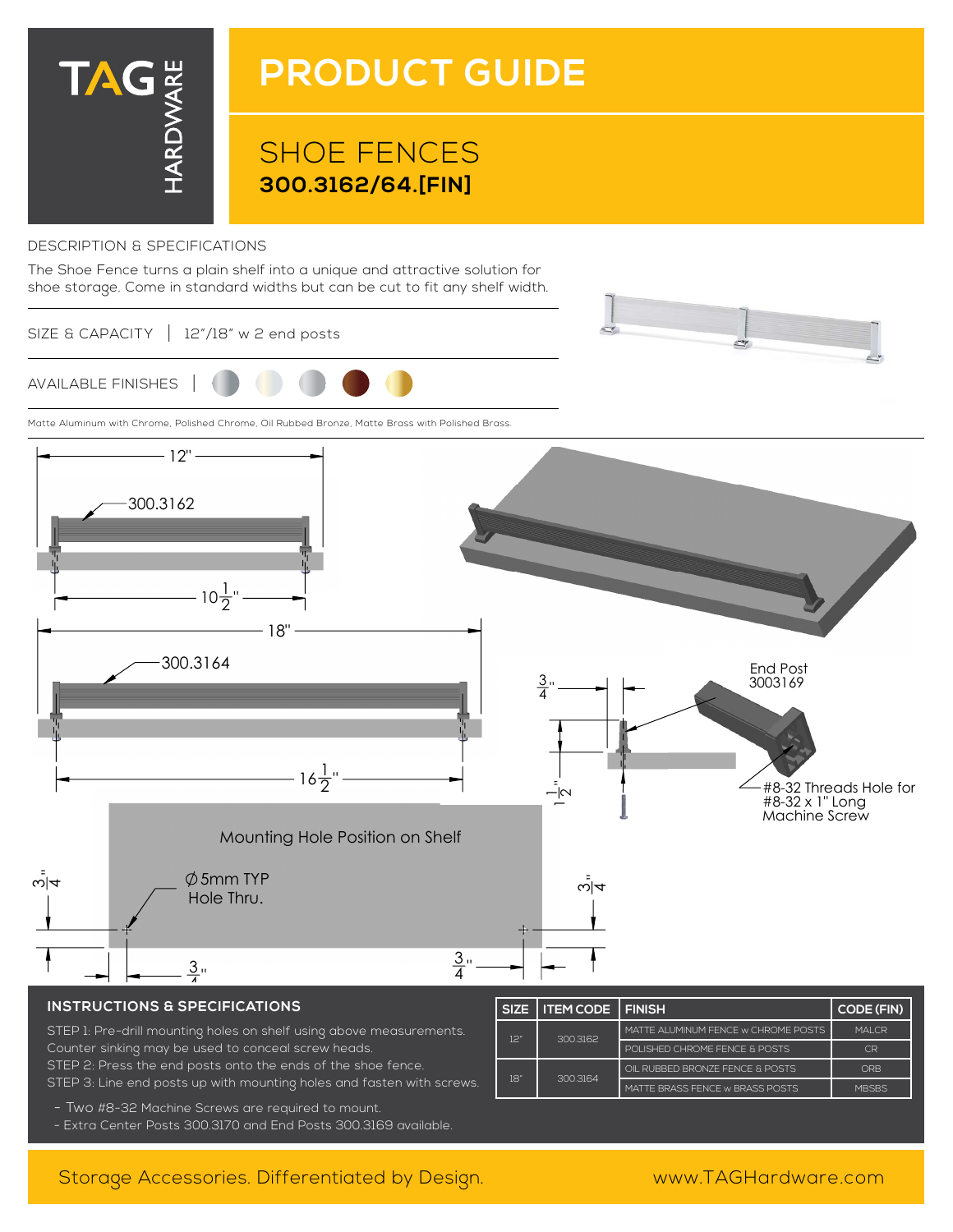

# **PRODUCT GUIDE**

# SHOE FENCES **300.3162/64.[FIN]**

#### DESCRIPTION & SPECIFICATIONS

The Shoe Fence turns a plain shelf into a unique and attractive solution for shoe storage. Come in standard widths but can be cut to fit any shelf width.

SIZE & CAPACITY | 12"/18" w 2 end posts



Matte Aluminum with Chrome, Polished Chrome, Oil Rubbed Bronze, Matte Brass with Polished Brass.



### **INSTRUCTIONS & SPECIFICATIONS**

STEP 1: Pre-drill mounting holes on shelf using above measurements. Counter sinking may be used to conceal screw heads. STEP 2: Press the end posts onto the ends of the shoe fence. STEP 3: Line end posts up with mounting holes and fasten with screws.

| <b>SIZE</b> | <b>I ITEM CODE I FINISH</b> |                                      | <b>CODE (FIN)</b> |
|-------------|-----------------------------|--------------------------------------|-------------------|
| וכן         | 3003162                     | MATTE AI UMINUM FENCE W CHROME POSTS | MAI CR            |
|             |                             | POLISHED CHROME FENCE & POSTS        | C <sub>R</sub>    |
| 181         | 3003164                     | OIL RUBBED BRONZE FENCE & POSTS      | ORB               |
|             |                             | MATTE BRASS FENCE W BRASS POSTS      | <b>MBSBS</b>      |

- Two #8-32 Machine Screws are required to mount.
- Extra Center Posts 300.3170 and End Posts 300.3169 available.

## Storage Accessories. Differentiated by Design. www.TAGHardware.com